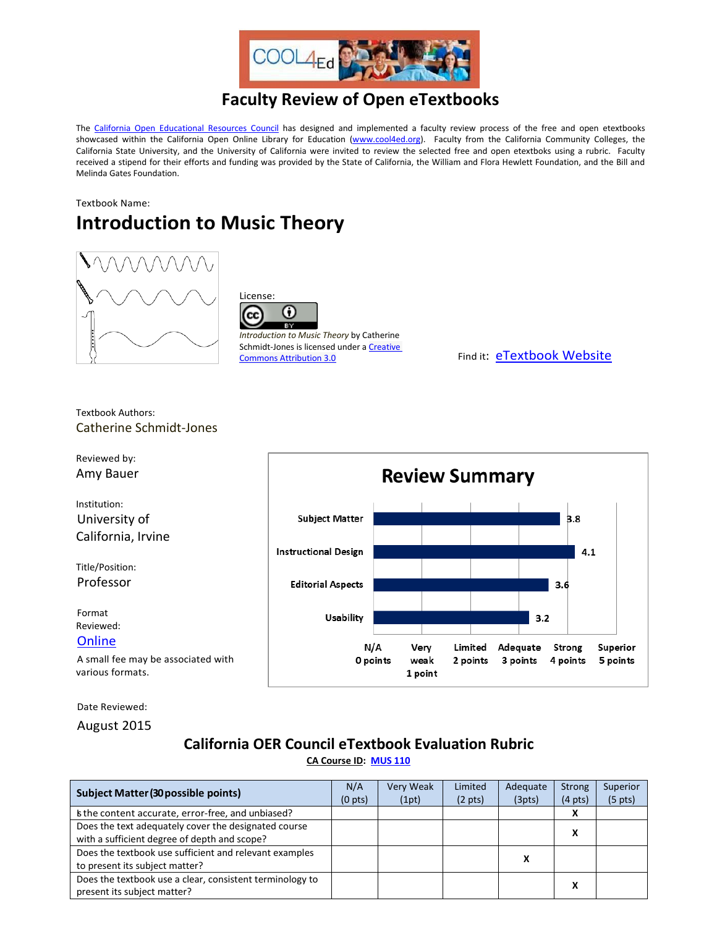

## **Faculty Review of Open eTextbooks**

The [California Open Educational Resources Council](http://icas-ca.org/coerc) has designed and implemented a faculty review process of the free and open etextbooks showcased within the California Open Online Library for Education [\(www.cool4ed.org\)](http://www.cool4ed.org/). Faculty from the California Community Colleges, the California State University, and the University of California were invited to review the selected free and open etextboks using a rubric. Faculty received a stipend for their efforts and funding was provided by the State of California, the William and Flora Hewlett Foundation, and the Bill and Melinda Gates Foundation.

## Textbook Name: **Introduction to Music Theory**





*Introduction to Music Theory* by Catherine Schmidt-Jones is licensed under a Creative Commons [Attribution 3.0](http://creativecommons.org/licenses/by/3.0/deed.en_US) Commons Attribution 3.0

Textbook Authors: Catherine Schmidt-Jones



Date Reviewed:

August 2015

## **California OER Council eTextbook Evaluation Rubric**

**[CA Course ID:](https://c-id.net/about.html) [MUS 110](https://c-id.net/descriptor_details.html?descriptor=347)**

| <b>Subject Matter (30 possible points)</b>               |  | <b>Very Weak</b> | Limited           | Adequate | <b>Strong</b>     | Superior          |
|----------------------------------------------------------|--|------------------|-------------------|----------|-------------------|-------------------|
|                                                          |  | (1pt)            | $(2 \text{ pts})$ | (3pts)   | $(4 \text{ pts})$ | $(5 \text{ pts})$ |
| is the content accurate, error-free, and unbiased?       |  |                  |                   |          | x                 |                   |
| Does the text adequately cover the designated course     |  |                  |                   |          |                   |                   |
| with a sufficient degree of depth and scope?             |  |                  |                   |          |                   |                   |
| Does the textbook use sufficient and relevant examples   |  |                  |                   |          |                   |                   |
| to present its subject matter?                           |  |                  |                   |          |                   |                   |
| Does the textbook use a clear, consistent terminology to |  |                  |                   |          | x                 |                   |
| present its subject matter?                              |  |                  |                   |          |                   |                   |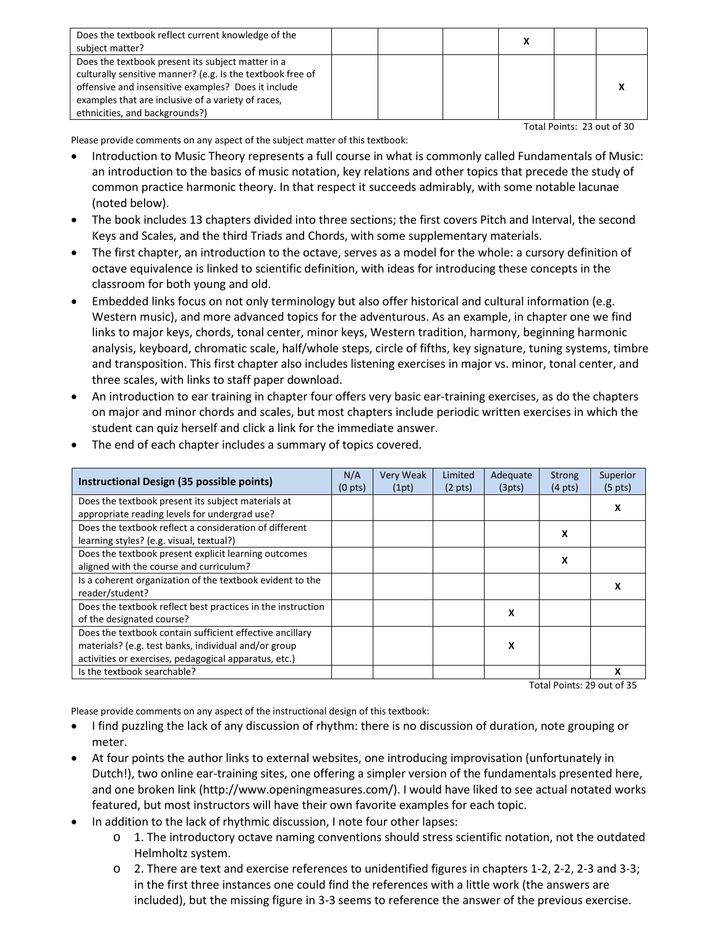| Does the textbook reflect current knowledge of the         |  |  |  |
|------------------------------------------------------------|--|--|--|
| subject matter?                                            |  |  |  |
| Does the textbook present its subject matter in a          |  |  |  |
| culturally sensitive manner? (e.g. Is the textbook free of |  |  |  |
| offensive and insensitive examples? Does it include        |  |  |  |
| examples that are inclusive of a variety of races,         |  |  |  |
| ethnicities, and backgrounds?)                             |  |  |  |

Total Points: 23 out of 30

Please provide comments on any aspect of the subject matter of this textbook:

- Introduction to Music Theory represents a full course in what is commonly called Fundamentals of Music: an introduction to the basics of music notation, key relations and other topics that precede the study of common practice harmonic theory. In that respect it succeeds admirably, with some notable lacunae (noted below).
- The book includes 13 chapters divided into three sections; the first covers Pitch and Interval, the second Keys and Scales, and the third Triads and Chords, with some supplementary materials.
- The first chapter, an introduction to the octave, serves as a model for the whole: a cursory definition of octave equivalence is linked to scientific definition, with ideas for introducing these concepts in the classroom for both young and old.
- Embedded links focus on not only terminology but also offer historical and cultural information (e.g. Western music), and more advanced topics for the adventurous. As an example, in chapter one we find links to major keys, chords, tonal center, minor keys, Western tradition, harmony, beginning harmonic analysis, keyboard, chromatic scale, half/whole steps, circle of fifths, key signature, tuning systems, timbre and transposition. This first chapter also includes listening exercises in major vs. minor, tonal center, and three scales, with links to staff paper download.
- An introduction to ear training in chapter four offers very basic ear-training exercises, as do the chapters on major and minor chords and scales, but most chapters include periodic written exercises in which the student can quiz herself and click a link for the immediate answer.

| Instructional Design (35 possible points)                                                                                                                                 | N/A<br>$(0 \text{ pts})$ | <b>Very Weak</b><br>(1pt) | Limited<br>$(2 \text{ pts})$ | Adequate<br>(3pts) | <b>Strong</b><br>$(4 \text{ pts})$ | Superior<br>$(5 \text{ pts})$ |
|---------------------------------------------------------------------------------------------------------------------------------------------------------------------------|--------------------------|---------------------------|------------------------------|--------------------|------------------------------------|-------------------------------|
| Does the textbook present its subject materials at<br>appropriate reading levels for undergrad use?                                                                       |                          |                           |                              |                    |                                    | х                             |
| Does the textbook reflect a consideration of different<br>learning styles? (e.g. visual, textual?)                                                                        |                          |                           |                              |                    | X                                  |                               |
| Does the textbook present explicit learning outcomes<br>aligned with the course and curriculum?                                                                           |                          |                           |                              |                    | X                                  |                               |
| Is a coherent organization of the textbook evident to the<br>reader/student?                                                                                              |                          |                           |                              |                    |                                    | x                             |
| Does the textbook reflect best practices in the instruction<br>of the designated course?                                                                                  |                          |                           |                              | X                  |                                    |                               |
| Does the textbook contain sufficient effective ancillary<br>materials? (e.g. test banks, individual and/or group<br>activities or exercises, pedagogical apparatus, etc.) |                          |                           |                              | x                  |                                    |                               |
| Is the textbook searchable?                                                                                                                                               |                          |                           |                              |                    |                                    | x                             |

The end of each chapter includes a summary of topics covered.

Total Points: 29 out of 35

Please provide comments on any aspect of the instructional design of this textbook:

- I find puzzling the lack of any discussion of rhythm: there is no discussion of duration, note grouping or meter.
- At four points the author links to external websites, one introducing improvisation (unfortunately in Dutch!), two online ear-training sites, one offering a simpler version of the fundamentals presented here, and one broken link (http://www.openingmeasures.com/). I would have liked to see actual notated works featured, but most instructors will have their own favorite examples for each topic.
- In addition to the lack of rhythmic discussion, I note four other lapses:
	- o 1. The introductory octave naming conventions should stress scientific notation, not the outdated Helmholtz system.
	- o 2. There are text and exercise references to unidentified figures in chapters 1-2, 2-2, 2-3 and 3-3; in the first three instances one could find the references with a little work (the answers are included), but the missing figure in 3-3 seems to reference the answer of the previous exercise.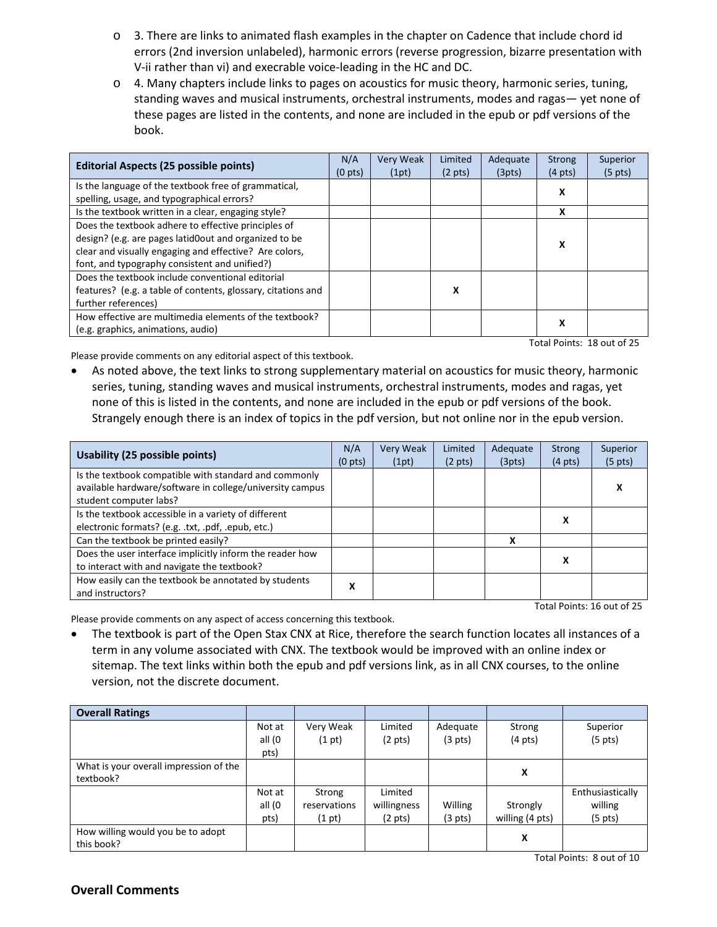- o 3. There are links to animated flash examples in the chapter on Cadence that include chord id errors (2nd inversion unlabeled), harmonic errors (reverse progression, bizarre presentation with V-ii rather than vi) and execrable voice-leading in the HC and DC.
- o 4. Many chapters include links to pages on acoustics for music theory, harmonic series, tuning, standing waves and musical instruments, orchestral instruments, modes and ragas— yet none of these pages are listed in the contents, and none are included in the epub or pdf versions of the book.

| <b>Editorial Aspects (25 possible points)</b>                |                     | <b>Very Weak</b><br>(1pt) | Limited<br>$(2 \text{ pts})$ | Adequate<br>(3pts) | <b>Strong</b><br>$(4 \text{ pts})$ | Superior<br>$(5 \text{ pts})$ |
|--------------------------------------------------------------|---------------------|---------------------------|------------------------------|--------------------|------------------------------------|-------------------------------|
| Is the language of the textbook free of grammatical,         | (0 <sub>pts</sub> ) |                           |                              |                    | x                                  |                               |
| spelling, usage, and typographical errors?                   |                     |                           |                              |                    |                                    |                               |
| Is the textbook written in a clear, engaging style?          |                     |                           |                              |                    | X                                  |                               |
| Does the textbook adhere to effective principles of          |                     |                           |                              |                    |                                    |                               |
| design? (e.g. are pages latid0out and organized to be        |                     |                           |                              |                    | x                                  |                               |
| clear and visually engaging and effective? Are colors,       |                     |                           |                              |                    |                                    |                               |
| font, and typography consistent and unified?)                |                     |                           |                              |                    |                                    |                               |
| Does the textbook include conventional editorial             |                     |                           |                              |                    |                                    |                               |
| features? (e.g. a table of contents, glossary, citations and |                     |                           | х                            |                    |                                    |                               |
| further references)                                          |                     |                           |                              |                    |                                    |                               |
| How effective are multimedia elements of the textbook?       |                     |                           |                              |                    | x                                  |                               |
| (e.g. graphics, animations, audio)                           |                     |                           |                              |                    |                                    |                               |
| Total Points: 18 out of 25                                   |                     |                           |                              |                    |                                    |                               |

Please provide comments on any editorial aspect of this textbook.

• As noted above, the text links to strong supplementary material on acoustics for music theory, harmonic series, tuning, standing waves and musical instruments, orchestral instruments, modes and ragas, yet none of this is listed in the contents, and none are included in the epub or pdf versions of the book. Strangely enough there is an index of topics in the pdf version, but not online nor in the epub version.

| <b>Usability (25 possible points)</b>                                                                                                       | N/A<br>(0 <sub>pts</sub> ) | <b>Very Weak</b><br>(1pt) | Limited<br>$(2 \text{ pts})$ | Adequate<br>(3pts) | Strong<br>$(4 \text{ pts})$ | Superior<br>$(5 \text{ pts})$ |
|---------------------------------------------------------------------------------------------------------------------------------------------|----------------------------|---------------------------|------------------------------|--------------------|-----------------------------|-------------------------------|
| Is the textbook compatible with standard and commonly<br>available hardware/software in college/university campus<br>student computer labs? |                            |                           |                              |                    |                             | х                             |
| Is the textbook accessible in a variety of different<br>electronic formats? (e.g. .txt, .pdf, .epub, etc.)                                  |                            |                           |                              |                    | х                           |                               |
| Can the textbook be printed easily?                                                                                                         |                            |                           |                              | x                  |                             |                               |
| Does the user interface implicitly inform the reader how<br>to interact with and navigate the textbook?                                     |                            |                           |                              |                    | x                           |                               |
| How easily can the textbook be annotated by students<br>and instructors?                                                                    | х                          |                           |                              |                    |                             |                               |

Total Points: 16 out of 25

Please provide comments on any aspect of access concerning this textbook.

• The textbook is part of the Open Stax CNX at Rice, therefore the search function locates all instances of a term in any volume associated with CNX. The textbook would be improved with an online index or sitemap. The text links within both the epub and pdf versions link, as in all CNX courses, to the online version, not the discrete document.

| <b>Overall Ratings</b>                 |        |              |                   |                   |                   |                   |
|----------------------------------------|--------|--------------|-------------------|-------------------|-------------------|-------------------|
|                                        | Not at | Very Weak    | Limited           | Adequate          | Strong            | Superior          |
|                                        | all (0 | (1 pt)       | $(2 \text{ pts})$ | $(3 \text{ pts})$ | $(4 \text{ pts})$ | $(5 \text{ pts})$ |
|                                        | pts)   |              |                   |                   |                   |                   |
| What is your overall impression of the |        |              |                   |                   |                   |                   |
| textbook?                              |        |              |                   |                   | X                 |                   |
|                                        | Not at | Strong       | Limited           |                   |                   | Enthusiastically  |
|                                        | all (0 | reservations | willingness       | Willing           | Strongly          | willing           |
|                                        | pts)   | (1 pt)       | (2 pts)           | $(3 \text{ pts})$ | willing (4 pts)   | (5 pts)           |
| How willing would you be to adopt      |        |              |                   |                   | X                 |                   |
| this book?                             |        |              |                   |                   |                   |                   |

Total Points: 8 out of 10